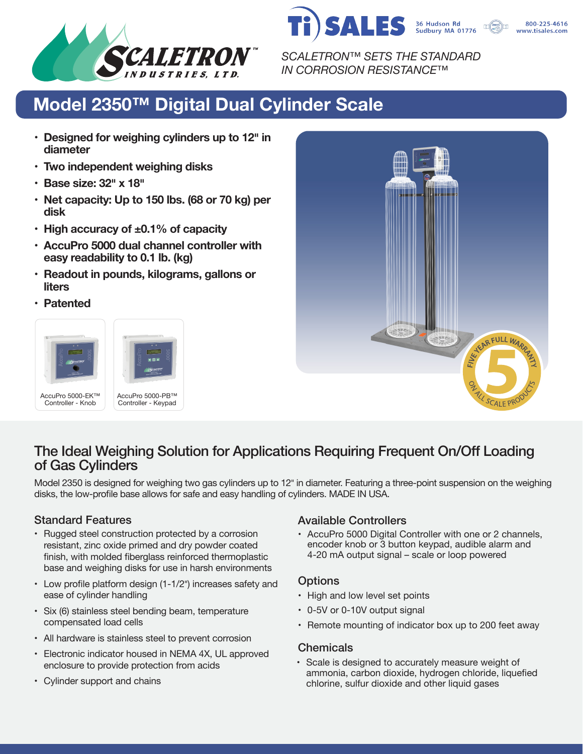



800-225-4616 www.tisales.com

*SCALETRON™ SETS THE STANDARD IN CORROSION RESISTANCE™*

# **Model 2350™ Digital Dual Cylinder Scale**

- **• Designed for weighing cylinders up to 12� in diameter**
- **• Two independent weighing disks**
- **• Base size: 32� x 18�**
- **• Net capacity: Up to 150 lbs. (68 or 70 kg) per disk**
- **• High accuracy of ±0.1% of capacity**
- **• AccuPro 5000 dual channel controller with easy readability to 0.1 lb. (kg)**
- **• Readout in pounds, kilograms, gallons or liters**
- **• Patented**





# The Ideal Weighing Solution for Applications Requiring Frequent On/Off Loading of Gas Cylinders

Model 2350 is designed for weighing two gas cylinders up to 12" in diameter. Featuring a three-point suspension on the weighing disks, the low-profile base allows for safe and easy handling of cylinders. MADE IN USA.

- Rugged steel construction protected by a corrosion resistant, zinc oxide primed and dry powder coated finish, with molded fiberglass reinforced thermoplastic base and weighing disks for use in harsh environments
- Low profile platform design (1-1/2") increases safety and ease of cylinder handling
- Six (6) stainless steel bending beam, temperature compensated load cells
- All hardware is stainless steel to prevent corrosion
- Electronic indicator housed in NEMA 4X, UL approved enclosure to provide protection from acids
- Cylinder support and chains

# Standard Features Available Controllers

• AccuPro 5000 Digital Controller with one or 2 channels, encoder knob or 3 button keypad, audible alarm and 4-20 mA output signal – scale or loop powered

## **Options**

- High and low level set points
- 0-5V or 0-10V output signal
- Remote mounting of indicator box up to 200 feet away

## **Chemicals**

• Scale is designed to accurately measure weight of ammonia, carbon dioxide, hydrogen chloride, liquefied chlorine, sulfur dioxide and other liquid gases